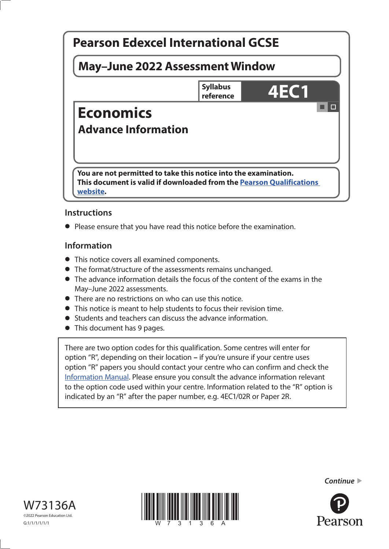

## **Instructions**

**•** Please ensure that you have read this notice before the examination.

### **Information**

- **•** This notice covers all examined components.
- **•** The format/structure of the assessments remains unchanged.
- **•** The advance information details the focus of the content of the exams in the May–June 2022 assessments.
- **•** There are no restrictions on who can use this notice.
- **•** This notice is meant to help students to focus their revision time.
- **•** Students and teachers can discuss the advance information.
- **•** This document has 9 pages.

There are two option codes for this qualification. Some centres will enter for option "R", depending on their location **–** if you're unsure if your centre uses option "R" papers you should contact your centre who can confirm and check the [Information Manual](https://qualifications.pearson.com/content/dam/pdf/Support/Information-manual/6-International-GCSE.pdf). Please ensure you consult the advance information relevant to the option code used within your centre. Information related to the "R" option is indicated by an "R" after the paper number, e.g. 4EC1/02R or Paper 2R.





*Continue* 

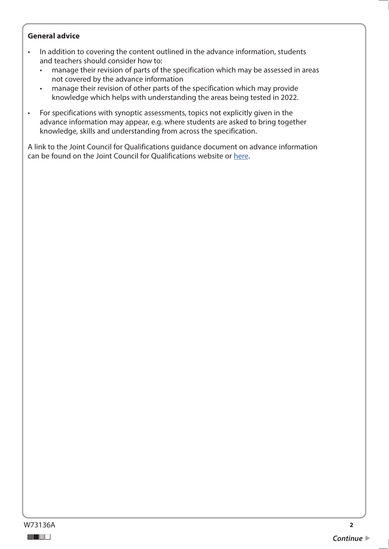#### **General advice**

- In addition to covering the content outlined in the advance information, students and teachers should consider how to:
	- manage their revision of parts of the specification which may be assessed in areas not covered by the advance information
	- manage their revision of other parts of the specification which may provide knowledge which helps with understanding the areas being tested in 2022.
- For specifications with synoptic assessments, topics not explicitly given in the advance information may appear, e.g. where students are asked to bring together knowledge, skills and understanding from across the specification.

A link to the Joint Council for Qualifications guidance document on advance information can be found on the Joint Council for Qualifications website or [here](https://www.jcq.org.uk/wp-content/uploads/2021/10/Advance-Information-for-General-Qualifications-2021-22.pdf).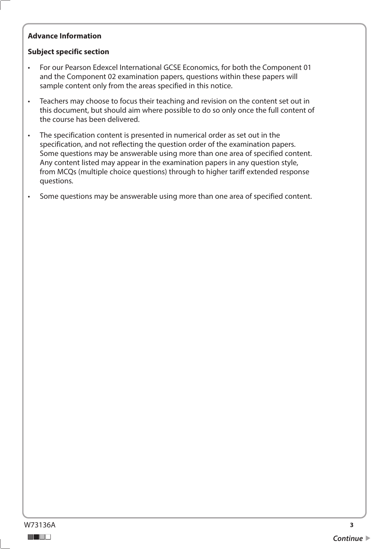### **Advance Information**

### **Subject specific section**

- For our Pearson Edexcel International GCSE Economics, for both the Component 01 and the Component 02 examination papers, questions within these papers will sample content only from the areas specified in this notice.
- Teachers may choose to focus their teaching and revision on the content set out in this document, but should aim where possible to do so only once the full content of the course has been delivered.
- The specification content is presented in numerical order as set out in the specification, and not reflecting the question order of the examination papers. Some questions may be answerable using more than one area of specified content. Any content listed may appear in the examination papers in any question style, from MCQs (multiple choice questions) through to higher tariff extended response questions.
- Some questions may be answerable using more than one area of specified content.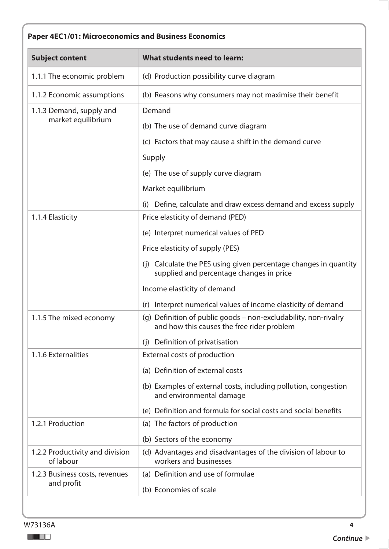# **Paper 4EC1/01: Microeconomics and Business Economics**

| <b>Subject content</b>                         | What students need to learn:                                                                                  |
|------------------------------------------------|---------------------------------------------------------------------------------------------------------------|
| 1.1.1 The economic problem                     | (d) Production possibility curve diagram                                                                      |
| 1.1.2 Economic assumptions                     | (b) Reasons why consumers may not maximise their benefit                                                      |
| 1.1.3 Demand, supply and<br>market equilibrium | Demand                                                                                                        |
|                                                | (b) The use of demand curve diagram                                                                           |
|                                                | (c) Factors that may cause a shift in the demand curve                                                        |
|                                                | Supply                                                                                                        |
|                                                | (e) The use of supply curve diagram                                                                           |
|                                                | Market equilibrium                                                                                            |
|                                                | Define, calculate and draw excess demand and excess supply<br>(i)                                             |
| 1.1.4 Elasticity                               | Price elasticity of demand (PED)                                                                              |
|                                                | (e) Interpret numerical values of PED                                                                         |
|                                                | Price elasticity of supply (PES)                                                                              |
|                                                | (j) Calculate the PES using given percentage changes in quantity<br>supplied and percentage changes in price  |
|                                                | Income elasticity of demand                                                                                   |
|                                                | (r) Interpret numerical values of income elasticity of demand                                                 |
| 1.1.5 The mixed economy                        | (q) Definition of public goods - non-excludability, non-rivalry<br>and how this causes the free rider problem |
|                                                | Definition of privatisation<br>(i)                                                                            |
| 1.1.6 Externalities                            | External costs of production                                                                                  |
|                                                | (a) Definition of external costs                                                                              |
|                                                | (b) Examples of external costs, including pollution, congestion<br>and environmental damage                   |
|                                                | (e) Definition and formula for social costs and social benefits                                               |
| 1.2.1 Production                               | (a) The factors of production                                                                                 |
|                                                | (b) Sectors of the economy                                                                                    |
| 1.2.2 Productivity and division<br>of labour   | (d) Advantages and disadvantages of the division of labour to<br>workers and businesses                       |
| 1.2.3 Business costs, revenues                 | (a) Definition and use of formulae                                                                            |
| and profit                                     | (b) Economies of scale                                                                                        |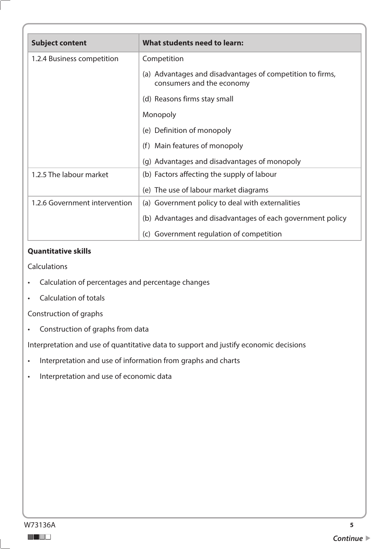| <b>Subject content</b>        | What students need to learn:                                                           |
|-------------------------------|----------------------------------------------------------------------------------------|
| 1.2.4 Business competition    | Competition                                                                            |
|                               | (a) Advantages and disadvantages of competition to firms,<br>consumers and the economy |
|                               | (d) Reasons firms stay small                                                           |
|                               | Monopoly                                                                               |
|                               | (e) Definition of monopoly                                                             |
|                               | Main features of monopoly<br>(f)                                                       |
|                               | (g) Advantages and disadvantages of monopoly                                           |
| 1.2.5 The labour market       | (b) Factors affecting the supply of labour                                             |
|                               | (e) The use of labour market diagrams                                                  |
| 1.2.6 Government intervention | (a) Government policy to deal with externalities                                       |
|                               | (b) Advantages and disadvantages of each government policy                             |
|                               | (c) Government regulation of competition                                               |

**Calculations** 

- Calculation of percentages and percentage changes
- Calculation of totals

Construction of graphs

• Construction of graphs from data

Interpretation and use of quantitative data to support and justify economic decisions

- Interpretation and use of information from graphs and charts
- Interpretation and use of economic data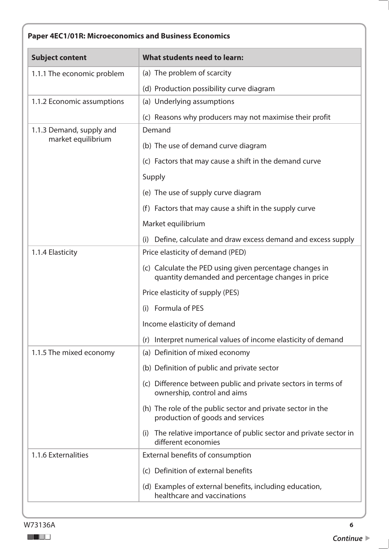# **Paper 4EC1/01R: Microeconomics and Business Economics**

| <b>Subject content</b>                         | What students need to learn:                                                                                 |
|------------------------------------------------|--------------------------------------------------------------------------------------------------------------|
| 1.1.1 The economic problem                     | (a) The problem of scarcity                                                                                  |
|                                                | (d) Production possibility curve diagram                                                                     |
| 1.1.2 Economic assumptions                     | (a) Underlying assumptions                                                                                   |
|                                                | (c) Reasons why producers may not maximise their profit                                                      |
| 1.1.3 Demand, supply and<br>market equilibrium | Demand                                                                                                       |
|                                                | (b) The use of demand curve diagram                                                                          |
|                                                | (c) Factors that may cause a shift in the demand curve                                                       |
|                                                | Supply                                                                                                       |
|                                                | (e) The use of supply curve diagram                                                                          |
|                                                | (f) Factors that may cause a shift in the supply curve                                                       |
|                                                | Market equilibrium                                                                                           |
|                                                | Define, calculate and draw excess demand and excess supply<br>(i)                                            |
| 1.1.4 Elasticity                               | Price elasticity of demand (PED)                                                                             |
|                                                | (c) Calculate the PED using given percentage changes in<br>quantity demanded and percentage changes in price |
|                                                | Price elasticity of supply (PES)                                                                             |
|                                                | (i) Formula of PES                                                                                           |
|                                                | Income elasticity of demand                                                                                  |
|                                                | (r) Interpret numerical values of income elasticity of demand                                                |
| 1.1.5 The mixed economy                        | (a) Definition of mixed economy                                                                              |
|                                                | (b) Definition of public and private sector                                                                  |
|                                                | (c) Difference between public and private sectors in terms of<br>ownership, control and aims                 |
|                                                | (h) The role of the public sector and private sector in the<br>production of goods and services              |
|                                                | The relative importance of public sector and private sector in<br>(i)<br>different economies                 |
| 1.1.6 Externalities                            | External benefits of consumption                                                                             |
|                                                | (c) Definition of external benefits                                                                          |
|                                                | (d) Examples of external benefits, including education,<br>healthcare and vaccinations                       |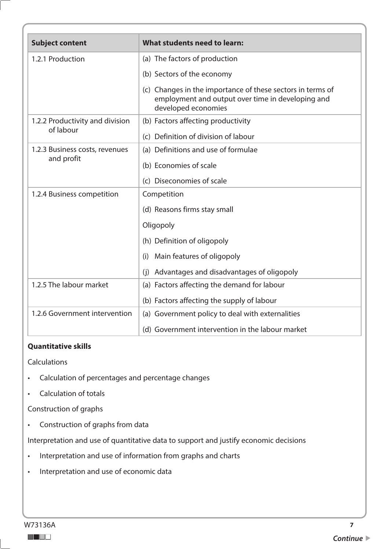| <b>Subject content</b>                       | What students need to learn:                                                                                                           |
|----------------------------------------------|----------------------------------------------------------------------------------------------------------------------------------------|
| 1.2.1 Production                             | (a) The factors of production                                                                                                          |
|                                              | (b) Sectors of the economy                                                                                                             |
|                                              | (c) Changes in the importance of these sectors in terms of<br>employment and output over time in developing and<br>developed economies |
| 1.2.2 Productivity and division              | (b) Factors affecting productivity                                                                                                     |
| of labour                                    | (c) Definition of division of labour                                                                                                   |
| 1.2.3 Business costs, revenues<br>and profit | (a) Definitions and use of formulae                                                                                                    |
|                                              | (b) Economies of scale                                                                                                                 |
|                                              | (c) Diseconomies of scale                                                                                                              |
| 1.2.4 Business competition                   | Competition                                                                                                                            |
|                                              | (d) Reasons firms stay small                                                                                                           |
|                                              | Oligopoly                                                                                                                              |
|                                              | (h) Definition of oligopoly                                                                                                            |
|                                              | Main features of oligopoly<br>(i)                                                                                                      |
|                                              | Advantages and disadvantages of oligopoly<br>(i)                                                                                       |
| 1.2.5 The labour market                      | (a) Factors affecting the demand for labour                                                                                            |
|                                              | (b) Factors affecting the supply of labour                                                                                             |
| 1.2.6 Government intervention                | (a) Government policy to deal with externalities                                                                                       |
|                                              | (d) Government intervention in the labour market                                                                                       |

Calculations

- Calculation of percentages and percentage changes
- Calculation of totals

Construction of graphs

• Construction of graphs from data

Interpretation and use of quantitative data to support and justify economic decisions

- Interpretation and use of information from graphs and charts
- Interpretation and use of economic data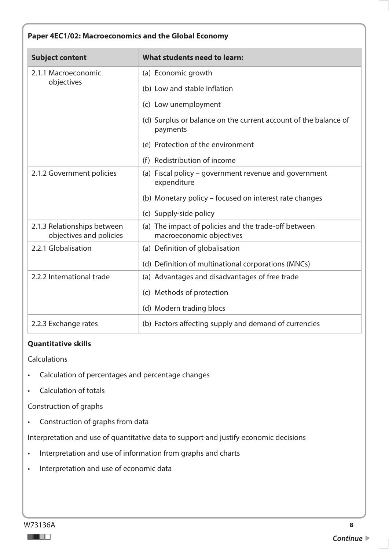| Paper 4EC1/02: Macroeconomics and the Global Economy   |                                                                                  |  |
|--------------------------------------------------------|----------------------------------------------------------------------------------|--|
| <b>Subject content</b>                                 | What students need to learn:                                                     |  |
| 2.1.1 Macroeconomic<br>objectives                      | (a) Economic growth                                                              |  |
|                                                        | (b) Low and stable inflation                                                     |  |
|                                                        | (c) Low unemployment                                                             |  |
|                                                        | (d) Surplus or balance on the current account of the balance of<br>payments      |  |
|                                                        | (e) Protection of the environment                                                |  |
|                                                        | (f) Redistribution of income                                                     |  |
| 2.1.2 Government policies                              | (a) Fiscal policy - government revenue and government<br>expenditure             |  |
|                                                        | (b) Monetary policy - focused on interest rate changes                           |  |
|                                                        | (c) Supply-side policy                                                           |  |
| 2.1.3 Relationships between<br>objectives and policies | (a) The impact of policies and the trade-off between<br>macroeconomic objectives |  |
| 2.2.1 Globalisation                                    | (a) Definition of globalisation                                                  |  |
|                                                        | (d) Definition of multinational corporations (MNCs)                              |  |
| 2.2.2 International trade                              | (a) Advantages and disadvantages of free trade                                   |  |
|                                                        | (c) Methods of protection                                                        |  |
|                                                        | (d) Modern trading blocs                                                         |  |
| 2.2.3 Exchange rates                                   | (b) Factors affecting supply and demand of currencies                            |  |

Calculations

- Calculation of percentages and percentage changes
- Calculation of totals

Construction of graphs

• Construction of graphs from data

Interpretation and use of quantitative data to support and justify economic decisions

- Interpretation and use of information from graphs and charts
- Interpretation and use of economic data